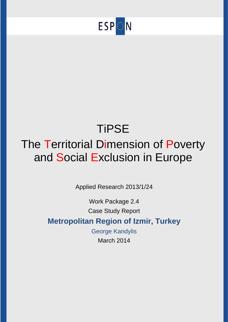

# **TiPSE** The Territorial Dimension of Poverty and Social Exclusion in Europe

Applied Research 2013/1/24

Work Package 2.4 Case Study Report

# **Metropolitan Region of Izmir, Turkey**

George Kandylis March 2014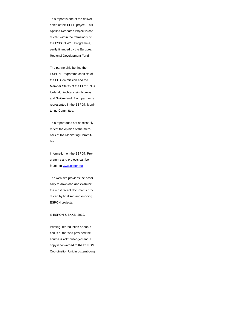This report is one of the deliverables of the TiPSE project. This Applied Research Project is conducted within the framework of the ESPON 2013 Programme, partly financed by the European Regional Development Fund.

The partnership behind the ESPON Programme consists of the EU Commission and the Member States of the EU27, plus Iceland, Liechtenstein, Norway and Switzerland. Each partner is represented in the ESPON Monitoring Committee.

This report does not necessarily reflect the opinion of the members of the Monitoring Committee.

Information on the ESPON Programme and projects can be found o[n www.espon.eu](http://www.espon.eu/)

The web site provides the possibility to download and examine the most recent documents produced by finalised and ongoing ESPON projects.

© ESPON & EKKE, 201 2 .

Printing, reproduction or quotation is authorised provided the source is acknowledged and a copy is forwarded to the ESPON Coordination Unit in Luxembourg.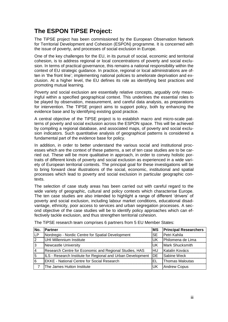# **The ESPON TiPSE Project:**

The TiPSE project has been commissioned by the European Observation Network for Territorial Development and Cohesion (ESPON) programme. It is concerned with the issue of poverty, and processes of social exclusion in Europe.

One of the key challenges for the EU, in its pursuit of social, economic and territorial cohesion, is to address regional or local concentrations of poverty and social exclusion. In terms of practical governance, this remains a national responsibility within the context of EU strategic guidance. In practice, regional or local administrations are often in 'the front line'; implementing national policies to ameliorate deprivation and exclusion. At a higher level, the EU defines its role as identifying best practices and promoting mutual learning.

Poverty and social exclusion are essentially relative concepts, arguably only meaningful within a specified geographical context. This underlines the essential roles to be played by observation, measurement, and careful data analysis, as preparations for intervention. The TIPSE project aims to support policy, both by enhancing the evidence base and by identifying existing good practice.

A central objective of the TiPSE project is to establish macro and micro-scale patterns of poverty and social exclusion across the ESPON space. This will be achieved by compiling a regional database, and associated maps, of poverty and social exclusion indicators. Such quantitative analysis of geographical patterns is considered a fundamental part of the evidence base for policy.

In addition, in order to better understand the various social and institutional processes which are the context of these patterns, a set of ten case studies are to be carried out. These will be more qualitative in approach, in order to convey holistic portraits of different kinds of poverty and social exclusion as experienced in a wide variety of European territorial contexts. The principal goal for these investigations will be to bring forward clear illustrations of the social, economic, institutional and spatial processes which lead to poverty and social exclusion in particular geographic contexts.

The selection of case study areas has been carried out with careful regard to the wide variety of geographic, cultural and policy contexts which characterise Europe. The ten case studies are also intended to highlight a range of different 'drivers' of poverty and social exclusion, including labour market conditions, educational disadvantage, ethnicity, poor access to services and urban segregation processes. A second objective of the case studies will be to identify policy approaches which can effectively tackle exclusion, and thus strengthen territorial cohesion.

| No.            | Partner                                                     | <b>MS</b>  | <b>Principal Researchers</b> |
|----------------|-------------------------------------------------------------|------------|------------------------------|
| LP.            | Nordregio - Nordic Centre for Spatial Development           | <b>SE</b>  | Petri Kahila                 |
| $\overline{2}$ | UHI Millennium Institute                                    | <b>IUK</b> | Philomena de Lima            |
| 3              | Newcastle University                                        | luk        | Mark Shucksmith              |
| 4              | Research Centre for Economic and Regional Studies, HAS      | <b>HU</b>  | Katalin Kovács               |
| 15             | ILS - Research Institute for Regional and Urban Development | DE         | Sabine Weck                  |
| 6              | <b>EKKE - National Centre for Social Research</b>           | ΕL         | Thomas Maloutas              |
|                | The James Hutton Institute                                  | UK         | <b>Andrew Copus</b>          |

The TiPSE research team comprises 6 partners from 5 EU Member States: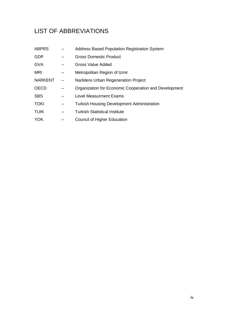# LIST OF ABBREVIATIONS

| <b>ABPRS</b>   | <b>Address Based Population Registration System</b>   |
|----------------|-------------------------------------------------------|
| <b>GDP</b>     | <b>Gross Domestic Product</b>                         |
| <b>GVA</b>     | Gross Value Added                                     |
| <b>MRI</b>     | Metropolitan Region of Izmir                          |
| <b>NARKENT</b> | Narlidere Urban Regeneration Project                  |
| <b>OECD</b>    | Organization for Economic Cooperation and Development |
| <b>SBS</b>     | <b>Level Measurment Exams</b>                         |
| <b>TOKI</b>    | <b>Turkish Housing Development Administration</b>     |
| <b>TUIK</b>    | Turkish Statistical Institute                         |
| <b>YOK</b>     | Council of Higher Education                           |
|                |                                                       |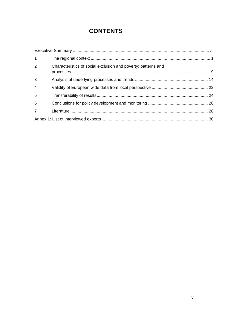# **CONTENTS**

| $1 \quad$      |                                                               |  |
|----------------|---------------------------------------------------------------|--|
| $\overline{2}$ | Characteristics of social exclusion and poverty: patterns and |  |
| 3              |                                                               |  |
| $\overline{4}$ |                                                               |  |
| 5              |                                                               |  |
| 6              |                                                               |  |
| 7 <sup>7</sup> |                                                               |  |
|                |                                                               |  |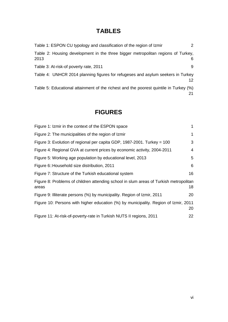# **TABLES**

| Table 1: ESPON CU typology and classification of the region of Izmir                     | $\mathcal{P}$ |
|------------------------------------------------------------------------------------------|---------------|
| Table 2: Housing development in the three bigger metropolitan regions of Turkey,<br>2013 | 6             |
| Table 3: At-risk-of poverty rate, 2011                                                   | 9             |
| Table 4: UNHCR 2014 planning figures for refugeses and asylum seekers in Turkey          | 12.           |
| Table 5: Educational attainment of the richest and the poorest quintile in Turkey (%)    | 21            |

# **FIGURES**

| Figure 1: Izmir in the context of the ESPON space                                              |    |
|------------------------------------------------------------------------------------------------|----|
| Figure 2: The municipalities of the region of Izmir                                            | 1  |
| Figure 3: Evolution of regional per capita GDP, 1987-2001. Turkey = 100                        | 3  |
| Figure 4: Regional GVA at current prices by economic activity, 2004-2011                       | 4  |
| Figure 5: Working age population by educational level, 2013                                    | 5  |
| Figure 6:: Household size distribution, 2011                                                   | 6  |
| Figure 7: Structure of the Turkish educational system                                          | 16 |
| Figure 8: Problems of children attending school in slum areas of Turkish metropolitan<br>areas | 18 |
| Figure 9: Illiterate persons (%) by municipality. Region of Izmir, 2011                        | 20 |
| Figure 10: Persons with higher education (%) by municipality. Region of Izmir, 2011            | 20 |
| Figure 11: At-risk-of-poverty-rate in Turkish NUTS II regions, 2011                            | 22 |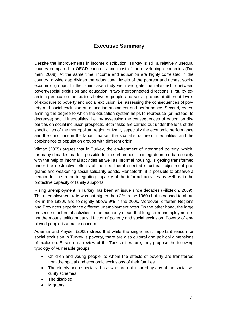### **Executive Summary**

<span id="page-6-0"></span>Despite the improvements in income distribution, Turkey is still a relatively unequal country compared to OECD countries and most of the developing economies (Duman, 2008). At the same time, income and education are highly correlated in the country: a wide gap divides the educational levels of the poorest and richest socioeconomic groups. In the Izmir case study we investigate the relationship between poverty/social exclusion and education in two interconnected directions. First, by examining education inequalities between people and social groups at different levels of exposure to poverty and social exclusion, i.e. assessing the consequences of poverty and social exclusion on education attainment and performance. Second, by examining the degree to which the education system helps to reproduce (or instead, to decrease) social inequalities, i.e. by assessing the consequences of education disparities on social inclusion prospects. Both tasks are carried out under the lens of the specificities of the metropolitan region of Izmir, especially the economic performance and the conditions in the labour market, the spatial structure of inequalities and the coexistence of population groups with different origin.

Yilmaz (2005) argues that in Turkey, the environment of integrated poverty, which, for many decades made it possible for the urban poor to integrate into urban society with the help of informal activities as well as informal housing, is getting transformed under the destructive effects of the neo-liberal oriented structural adjustment programs and weakening social solidarity bonds. Henceforth, it is possible to observe a certain decline in the integrating capacity of the informal activities as well as in the protective capacity of family supports.

Rising unemployment in Turkey has been an issue since decades (Filiztekin, 2009). The unemployment rate was not higher than 3% in the 1960s but increased to about 8% in the 1980s and to slightly above 9% in the 200s. Moreover, different Regions and Provinces experience different unemployment rates On the other hand, the large presence of informal activities in the economy mean that long term unemployment is not the most significant causal factor of poverty and social exclusion. Poverty of employed people is a major concern.

Adaman and Keyder (2005) stress that while the single most important reason for social exclusion in Turkey is poverty, there are also cultural and political dimensions of exclusion. Based on a review of the Turkish literature, they propose the following typology of vulnerable groups:

- Children and young people, to whom the effects of poverty are transferred from the spatial and economic exclusions of their families
- The elderly and especially those who are not insured by any of the social security schemes
- The disabled
- **Migrants**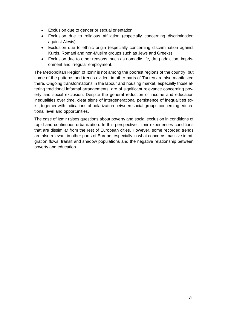- Exclusion due to gender or sexual orientation
- Exclusion due to religious affiliation (especially concerning discrimination against Alevis)
- Exclusion due to ethnic origin (especially concerning discrimination against Kurds, Romani and non-Muslim groups such as Jews and Greeks)
- Exclusion due to other reasons, such as nomadic life, drug addiction, imprisonment and irregular employment.

The Metropolitan Region of Izmir is not among the poorest regions of the country, but some of the patterns and trends evident in other parts of Turkey are also manifested there. Ongoing transformations in the labour and housing market, especially those altering traditional informal arrangements, are of significant relevance concerning poverty and social exclusion. Despite the general reduction of income and education inequalities over time, clear signs of intergenerational persistence of inequalities exist, together with indications of polarization between social groups concerning educational level and opportunities.

The case of Izmir raises questions about poverty and social exclusion in conditions of rapid and continuous urbanization. In this perspective, Izmir experiences conditions that are dissimilar from the rest of European cities. However, some recorded trends are also relevant in other parts of Europe, especially in what concerns massive immigration flows, transit and shadow populations and the negative relationship between poverty and education.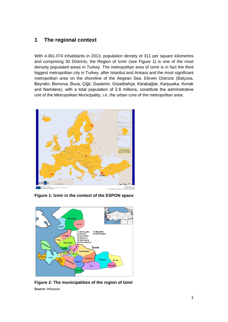### <span id="page-8-0"></span>**1 The regional context**

With 4.061.074 inhabitants in 2013, population density of 311 per square kilometres and comprising 30 Districts, the Region of Izmir (see Figure 1) is one of the most densely populated areas in Turkey. The metropolitan area of Izmir is in fact the third biggest metropolitan city in Turkey, after Istanbul and Ankara and the most significant metropolitan area on the shoreline of the Aegean Sea. Eleven Districts (Balçova, Bayraklı, Bornova, Buca, Çiğli, Gaziemir, Güzelbahçe, Karabağlar, Karşıyaka, Konak and Narlıdere), with a total population of 2.8 millions, constitute the administrative unit of the Metropolitan Municipality, i.e. the urban core of the metropolitan area.



**Figure 1: Izmir in the context of the ESPON space**



<span id="page-8-1"></span>**Figure 2: The municipalities of the region of Izmir Source:** Wikipedia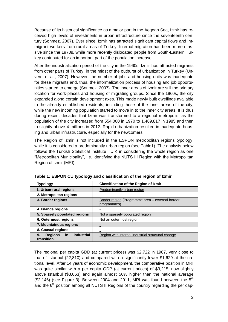Because of its historical significance as a major port in the Aegean Sea, Izmir has received high levels of investments in urban infrastructure since the seventeenth century (Sonmez, 2007). Ever since, Izmir has attracted significant capital flows and immigrant workers from rural areas of Turkey. Internal migration has been more massive since the 1970s, while more recently dislocated people from South-Eastern Turkey contributed for an important part of the population increase.

After the industrialization period of the city in the 1960s, Izmir has attracted migrants from other parts of Turkey, in the midst of the outburst of urbanization in Turkey (Unverdi et al., 2007). However, the number of jobs and housing units was inadequate for these migrants and, thus, the informalization process of housing and job opportunities started to emerge (Sonmez, 2007). The inner areas of Izmir are still the primary location for work-places and housing of migrating groups. Since the 1960s, the city expanded along certain development axes. This made newly built dwellings available to the already established residents, including those of the inner areas of the city, while the new incoming population started to move in to the inner city areas. It is thus during recent decades that Izmir was transformed to a regional metropolis, as the population of the city increased from 554,000 in 1970 to 1,489,817 in 1985 and then to slightly above 4 millions in 2012. Rapid urbanization resulted in inadequate housing and urban infrastructure, especially for the newcomers.

The Region of Izmir is not included in the ESPON metropolitan regions typology, while it is considered a predominantly urban region (see Table1). The analysis below follows the Turkish Statistical Institute TUIK in considering the whole region as one "Metropolitan Municipality", i.e. identifying the NUTS III Region with the Metropolitan Region of Izmir (MRI).

| <b>Typology</b>                                        | <b>Classification of the Region of Izmir</b>                   |  |  |
|--------------------------------------------------------|----------------------------------------------------------------|--|--|
| 1. Urban-rural regions                                 | <b>Predominantly urban region</b>                              |  |  |
| 2. Metropolitan regions                                |                                                                |  |  |
| 3. Border regions                                      | Border region (Programme area – external border<br>programmes) |  |  |
| 4. Islands regions                                     |                                                                |  |  |
| 5. Sparsely populated regions                          | Not a sparsely populated region                                |  |  |
| 6. Outermost regions                                   | Not an outermost region                                        |  |  |
| 7. Mountainous regions                                 |                                                                |  |  |
| 8. Coastal regions                                     |                                                                |  |  |
| industrial<br>in<br>9.<br><b>Regions</b><br>transition | Region with internal industrial structural change              |  |  |

<span id="page-9-0"></span>**Table 1: ESPON CU typology and classification of the region of Izmir**

The regional per capita GDD (at current prices) was \$2,722 in 1987, very close to that of Istanbul (22,810) and compared with a significantly lower \$1,629 at the national level. After 14 years of economic development, the comparative position in MRI was quite similar with a per capita GDP (at current prices) of \$3,215, now slightly above Istanbul (\$3,063) and again almost 50% higher than the national average  $(S2.146)$  (see Figure 3). Between 2004 and 2011, MRI was found between the  $5<sup>th</sup>$ and the  $6<sup>th</sup>$  position among all NUTS II Regions of the country regarding the per cap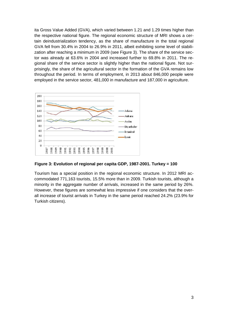ita Gross Value Added (GVA), which varied between 1.21 and 1.29 times higher than the respective national figure. The regional economic structure of MRI shows a certain deindustrialization tendency, as the share of manufacture in the total regional GVA fell from 30.4% in 2004 to 26.9% in 2011, albeit exhibiting some level of stabilization after reaching a minimum in 2009 (see Figure 3). The share of the service sector was already at 63.6% in 2004 and increased further to 69.8% in 2011. The regional share of the service sector is slightly higher than the national figure. Not surprisingly, the share of the agricultural sector in the formation of the GVA remains low throughout the period. In terms of employment, in 2013 about 846,000 people were employed in the service sector, 481,000 in manufacture and 187,000 in agriculture.



 **Figure 3: Evolution of regional per capita GDP, 1987-2001. Turkey = 100**

Tourism has a special position in the regional economic structure. In 2012 MRI accommodated 771,163 tourists, 15.5% more than in 2009. Turkish tourists, although a minority in the aggregate number of arrivals, increased in the same period by 26%. However, these figures are somewhat less impressive if one considers that the overall increase of tourist arrivals in Turkey in the same period reached 24.2% (23.9% for Turkish citizens).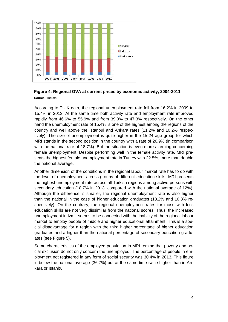

#### **Figure 4: Regional GVA at current prices by economic activity, 2004-2011**

**Source:** Turkstat

According to TUIK data, the regional unemployment rate fell from 16.2% in 2009 to 15.4% in 2013. At the same time both activity rate and employment rate improved rapidly from 46.6% to 55.9% and from 39.0% to 47.3% respectively. On the other hand the unemployment rate of 15.4% is one of the highest among the regions of the country and well above the Istanbul and Ankara rates (11.2% and 10.2% respectively). The size of unemployment is quite higher in the 15-24 age group for which MRI stands in the second position in the country with a rate of 26.9% (in comparison with the national rate of 18.7%). But the situation is even more alarming concerning female unemployment. Despite performing well in the female activity rate, MRI presents the highest female unemployment rate in Turkey with 22.5%, more than double the national average.

Another dimension of the conditions in the regional labour market rate has to do with the level of unemployment across groups of different education skills. MRI presents the highest unemployment rate across all Turkish regions among active persons with secondary education (18.7% in 2013, compared with the national average of 12%). Although the difference is smaller, the regional unemployment rate is also higher than the national in the case of higher education graduates (13.2% and 10.3% respectively). On the contrary, the regional unemployment rates for those with less education skills are not very dissimilar from the national scores. Thus, the increased unemployment in Izmir seems to be connected with the inability of the regional labour market to employ people of middle and higher educational attainment. This is a special disadvantage for a region with the third higher percentage of higher education graduates and a higher than the national percentage of secondary education graduates (see Figure 5).

Some characteristics of the employed population in MRI remind that poverty and social exclusion do not only concern the unemployed. The percentage of people in employment not registered in any form of social security was 30.4% in 2013. This figure is below the national average (36.7%) but at the same time twice higher than in Ankara or Istanbul.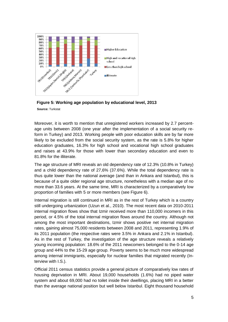

 **Source:** Turkstat **Figure 5: Working age population by educational level, 2013**

Moreover, it is worth to mention that unregistered workers increased by 2.7 percentage units between 2008 (one year after the implementation of a social security reform in Turkey) and 2013. Working people with poor education skills are by far more likely to be excluded from the social security system, as the rate is 5.8% for higher education graduates, 16.3% for high school and vocational high school graduates and raises at 43.9% for those with lower than secondary education and even to 81.8% for the illiterate.

The age structure of MRI reveals an old dependency rate of 12.3% (10.8% in Turkey) and a child dependency rate of 27,6% (37.6%). While the total dependency rate is thus quite lower than the national average (and than in Ankara and Istanbul), this is because of a quite older regional age structure, nonetheless with a median age of no more than 33.6 years. At the same time, MRI is characterized by a comparatively low proportion of families with 5 or more members (see Figure 6).

Internal migration is still continued in MRI as in the rest of Turkey which is a country still undergoing urbanization (Uzun et al., 2010). The most recent data on 2010-2011 internal migration flows show that Izmir received more than 110,000 incomers in this period, or 4.5% of the total internal migration flows around the country. Although not among the most important destinations, Izmir shows positive net internal migration rates, gaining almost 75,000 residents between 2008 and 2011, representing 1.9% of its 2011 population (the respective rates were 3.5% in Ankara and 2.1% in Istanbul). As in the rest of Turkey, the investigation of the age structure reveals a relatively young incoming population: 18.6% of the 2011 newcomers belonged to the 0-14 age group and 44% to the 15-29 age group. Poverty seems to be much more widespread among internal immigrants, especially for nuclear families that migrated recently (Interview with I.S.).

Official 2011 census statistics provide a general picture of comparatively low rates of housing deprivation in MRI. About 19,000 households (1.6%) had no piped water system and about 69,000 had no toilet inside their dwellings, placing MRI in a better than the average national position but well below Istanbul. Eight thousand household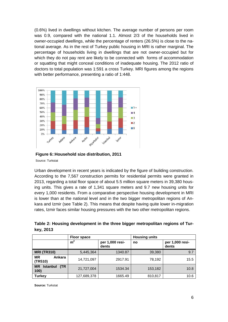(0.6%) lived in dwellings without kitchen. The average number of persons per room was 0.9, compared with the national 1.1. Almost 2/3 of the households lived in owner-occupied dwellings, while the percentage of renters (26.5%) is close to the national average. As in the rest of Turkey public housing in MRI is rather marginal. The percentage of households living in dwellings that are not owner-occupied but for which they do not pay rent are likely to be connected with forms of accommodation or squatting that might conceal conditions of inadequate housing. The 2012 ratio of doctors to total population was 1:591 a cross Turkey. MRI figures among the regions with better performance, presenting a ratio of 1:448.



**Figure 6:**:**Household size distribution, 2011** Source: Turkstat

Urban development in recent years is indicated by the figure of building construction. According to the 7,567 construction permits for residential permits were granted in 2013, regarding a total floor space of about 5.5 million square meters in 39,380 housing units. This gives a rate of 1,341 square meters and 9.7 new housing units for every 1,000 residents. From a comparative perspective housing development in MRI is lower than at the national level and in the two bigger metropolitan regions of Ankara and Izmir (see Table 2). This means that despite having quite lower in-migration rates, Izmir faces similar housing pressures with the two other metropolitan regions.

<span id="page-13-0"></span>

| Table 2: Housing development in the three bigger metropolitan regions of Tur- |  |  |  |  |
|-------------------------------------------------------------------------------|--|--|--|--|
| key, 2013                                                                     |  |  |  |  |

|                                              | <b>Floor space</b> |                          | <b>Housing units</b> |                          |  |
|----------------------------------------------|--------------------|--------------------------|----------------------|--------------------------|--|
|                                              | m <sup>2</sup>     | per 1,000 resi-<br>dents | no                   | per 1,000 resi-<br>dents |  |
| <b>MRI (TR310)</b>                           | 5,445,364          | 1340.87                  | 39,380               | 9.7                      |  |
| <b>MR</b><br>Ankara<br>(TR510)               | 14,721,097         | 2917.91                  | 78,192               | 15.5                     |  |
| (TR)<br><b>Istanbul</b><br><b>MR</b><br>100) | 21,727,004         | 1534.34                  | 153,182              | 10.8                     |  |
| <b>Turkey</b>                                | 127,689,378        | 1665.49                  | 810,817              | 10.6                     |  |

**Source:** Turkstat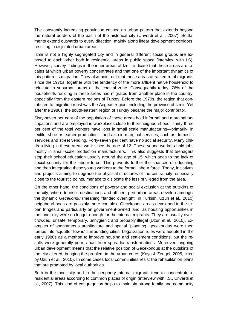The constantly increasing population caused an urban pattern that extends beyond the natural borders of the basin of the historical city (Unverdi et al., 2007). Settlements extend outwards to every direction, mainly along linear development corridors, resulting in disjointed urban areas.

Izmir is not a highly segregated city and in general different social groups are exposed to each other both in residential areas in public space (interview with I.S). However, survey findings in the inner areas of Izmir indicate that these areas are locales at which urban poverty concentrates and that one of the important dynamics of this pattern is migration. They also point out that these areas attracted rural migrants since the 1970s, together with the tendency of the more affluent native household to relocate to suburban areas at the coastal zone. Consequently today, 76% of the households residing in these areas had migrated from another place in the country, especially from the eastern regions of Turkey. Before the 1970s, the region that contributed to migration most was the Aegean region, including the province of Izmir. Yet after the 1980s, the south-eastern region of Turkey became the major contributor.

Sixty-seven per cent of the population of these areas hold informal and marginal occupations and are employed in workplaces close to their neighbourhood. Thirty-three per cent of the total workers have jobs in small scale manufacturing—primarily, in textile, shoe or leather production – and also in marginal services, such as domestic services and street vending. Forty-seven per cent have no social security. Many children living in these areas work since the age of 12. These young workers hold jobs mostly in small-scale production manufacturers. This also suggests that teenagers stop their school education usually around the age of 15, which adds to the lack of social security for the labour force. This prevents further the chances of educating and then integrating these young workers to the formal labour force. Today, initiatives and projects aiming to upgrade the physical structures of the central city, especially close to the touristic points, menace to dislocate the less privileged from the area.

On the other hand, the conditions of poverty and social exclusion at the outskirts of the city, where touristic destinations and affluent peri-urban areas develop amongst the dynamic *Gecekondu* (meaning ''landed overnight'' in Turkish, Uzun et al., 2010) neighbourhoods are possibly more complex. Gecekondu areas developed in the urban fringes and particularly on government-owned land, as housing opportunities in the inner city were no longer enough for the internal migrants. They are usually overcrowded, unsafe, temporary, unhygienic and probably illegal (Uzun et al., 2010). Examples of spontaneous architecture and spatial "planning, gecekondus were then turned into 'squatter towns' surrounding cities. Legalization rules were adopted in the early 1980s as a method to improve housing and settlement conditions, but the results were generally poor, apart from sporadic transformations. Moreover, ongoing urban development means that the relative position of Gecekondus at the outskirts of the city altered, bringing the problem in the urban cores (Kaya & Zengel, 2005, cited by Uzun et al., 2010). In some cases local communities resist the rehabilitation plans that are promoted by local authorities.

Both in the inner city and in the periphery internal migrants tend to concentrate in residential areas according to common places of origin (interview with I.S., Unverdi et al., 2007). This kind of congregation helps to maintain strong family and community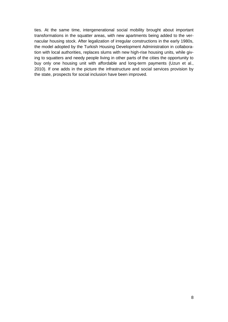ties. At the same time, intergenerational social mobility brought about important transformations in the squatter areas, with new apartments being added to the vernacular housing stock. After legalization of irregular constructions in the early 1980s, the model adopted by the Turkish Housing Development Administration in collaboration with local authorities, replaces slums with new high-rise housing units, while giving to squatters and needy people living in other parts of the cities the opportunity to buy only one housing unit with affordable and long-term payments (Uzun et al., 2010). If one adds in the picture the infrastructure and social services provision by the state, prospects for social inclusion have been improved.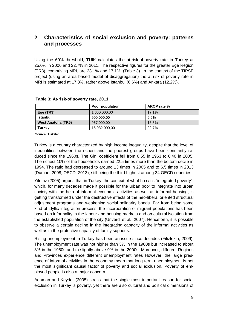### <span id="page-16-0"></span>**2 Characteristics of social exclusion and poverty: patterns and processes**

Using the 60% threshold, TUIK calculates the at-risk-of-poverty rate in Turkey at 25.0% in 2006 and 22.7% in 2011. The respective figures for the greater Ege Region (TR3), comprising MRI, are 23.1% and 17.1%. (Table 3). In the context of the TIPSE project (using an area based model of disaggregation) the at-risk-of-poverty rate in MRI is estimated at 17.3%, rather above Istanbul (6.6%) and Ankara (12.2%).

|                            | Poor population | AROP rate % |
|----------------------------|-----------------|-------------|
| Ege $(TR3)$                | 1.660.000,00    | 17.1%       |
| <b>Istanbul</b>            | 900.000,00      | 6.6%        |
| <b>West Anatolia (TR5)</b> | 967.000,00      | 13.5%       |
| Turkey                     | 16.932.000.00   | 22.7%       |

#### <span id="page-16-1"></span>**Table 3: At-risk-of poverty rate, 2011**

**Source:** Turkstat

Turkey is a country characterized by high income inequality, despite that the level of inequalities between the richest and the poorest groups have been constantly reduced since the 1960s. The Gini coefficient fell from 0.55 in 1963 to 0.40 in 2005. The richest 10% of the households earned 22.5 times more than the bottom decile in 1994. The ratio had decreased to around 13 times in 2005 and to 6.5 times in 2013 (Duman, 2008; OECD, 2013), still being the third highest among 34 OECD countries.

Yilmaz (2005) argues that in Turkey, the context of what he calls "integrated poverty", which, for many decades made it possible for the urban poor to integrate into urban society with the help of informal economic activities as well as informal housing, is getting transformed under the destructive effects of the neo-liberal oriented structural adjustment programs and weakening social solidarity bonds. Far from being some kind of idyllic integration process, the incorporation of migrant populations has been based on informality in the labour and housing markets and on cultural isolation from the established population of the city (Unverdi et al., 2007). Henceforth, it is possible to observe a certain decline in the integrating capacity of the informal activities as well as in the protective capacity of family supports.

Rising unemployment in Turkey has been an issue since decades (Filiztekin, 2009). The unemployment rate was not higher than 3% in the 1960s but increased to about 8% in the 1980s and to slightly above 9% in the 2000s. Moreover, different Regions and Provinces experience different unemployment rates However, the large presence of informal activities in the economy mean that long term unemployment is not the most significant causal factor of poverty and social exclusion. Poverty of employed people is also a major concern.

Adaman and Keyder (2005) stress that the single most important reason for social exclusion in Turkey is poverty, yet there are also cultural and political dimensions of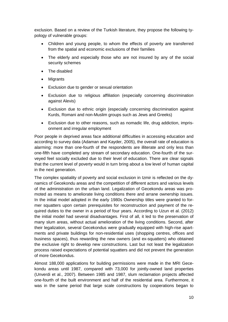exclusion. Based on a review of the Turkish literature, they propose the following typology of vulnerable groups:

- Children and young people, to whom the effects of poverty are transferred from the spatial and economic exclusions of their families
- The elderly and especially those who are not insured by any of the social security schemes
- The disabled
- **Migrants**
- Exclusion due to gender or sexual orientation
- Exclusion due to religious affiliation (especially concerning discrimination against Alevis)
- Exclusion due to ethnic origin (especially concerning discrimination against Kurds, Romani and non-Muslim groups such as Jews and Greeks)
- Exclusion due to other reasons, such as nomadic life, drug addiction, imprisonment and irregular employment

Poor people in deprived areas face additional difficulties in accessing education and according to survey data (Adaman and Kayder, 2005), the overall rate of education is alarming: more than one-fourth of the respondents are illiterate and only less than one-fifth have completed any stream of secondary education. One-fourth of the surveyed feel socially excluded due to their level of education. There are clear signals that the current level of poverty would in turn bring about a low level of human capital in the next generation.

The complex spatiality of poverty and social exclusion in Izmir is reflected on the dynamics of Gecekondu areas and the competition of different actors and various levels of the administration on the urban land. Legalization of Gecekondu areas was promoted as means to ameliorate living conditions there and arrane ownership issues. In the initial model adopted in the early 1980s Ownership titles were granted to former squatters upon certain prerequisites for reconstruction and payment of the required duties to the owner in a period of four years. According to Uzun et al. (2012) the initial model had several disadvantages. First of all, it led to the preservation of many slum areas, without actual amelioration of the living conditions. Second, after their legalization, several Gecekondus were gradually equipped with high-rise apartments and private buildings for non-residential uses (shopping centres, offices and business spaces), thus rewarding the new owners (and ex-squatters) who obtained the exclusive right to develop new constructions. Last but not least the legalization process raised expectations of potential squatters and did not prevent the generation of more Gecekondus.

Almost 188,000 applications for building permissions were made in the MRI Gecekondu areas until 1987, compared with 73,000 for jointly-owned land properties (Unverdi et al., 2007). Between 1985 and 1987, slum reclamation projects affected one-fourth of the built environment and half of the residential area. Furthermore, it was in the same period that large scale constructions by cooperations began to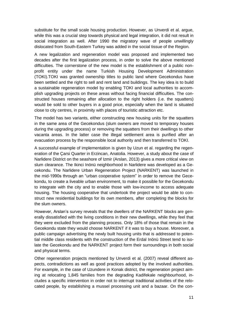substitute for the small scale housing production. However, as Unverdi et al. argue, while this was a crucial step towards physical and legal integration, it did not result in social integration as well. After 1990 the migratory wave of people unwillingly dislocated from South-Eastern Turkey was added in the social tissue of the Region.

A new legalization and regeneration model was proposed and implemented two decades after the first legalization process, in order to solve the above mentioned difficulties. The cornerstone of the new model is the establishment of a public nonprofit entity under the name Turkish Housing Development Administration (TOKI).TOKI was granted ownership titles to public land where Gecekondus have been settled and the right to sell and rent land and buildings. The key idea is to build a sustainable regeneration model by enabling TOKI and local authorities to accomplish upgrading projects on these areas without facing financial difficulties. The constructed houses remaining after allocation to the right holders (i.e. the squatters) would be sold to other buyers in a good price, especially when the land is situated close to city centres, in proximity with places of touristic attraction etc.

The model has two variants, either constructing new housing units for the squatters in the same area of the Gecekondus (slum owners are moved to temporary houses during the upgrading process) or removing the squatters from their dwellings to other vacanta areas. In the latter case the illegal settlement area is purified after an evacuation process by the responsible local authority and then transferred to TOKI.

A successful example of implementation is given by Uzun et al. regarding the regeneration of the Çarsi Quarter in Erzincan, Anatolia. However, a study about the case of Narlidere District on the seashore of Izmir (Arslan, 2013) gives a more critical view on slum clearance. The Ikinci Inönü neighborhood in Narlidere was developed as a Gecekondu. The Narlidere Urban Regeneration Project (NARKENT) was launched in the mid-1990s through an "urban cooperative system" in order to remove the Gecekondu, to create a liveable urban environment, to make it possible for the Gecekondu to integrate with the city and to enable those with low-income to access adequate housing. The housing cooperative that undertook the project would be able to construct new residential buildings for its own members, after completing the blocks for the slum owners.

However, Arslan's survey reveals that the dwellers of the NARKENT blocks are generally dissatisfied with the living conditions in their new dwellings, while they feel that they were excluded from the planning process. Only 18% of those that remain in the Gecekondu state they would choose NARKENT if it was to buy a house. Moreover, a public campaign advertising the newly built housing units that is addressed to potential middle class residents with the construction of the Erdal Inönü Street tend to isolate the Gecekondu and the NARKENT project form their surroundings in both social and physical terms.

Other regeneration projects mentioned by Unverdi et al. (2007) reveal different aspects, contradictions as well as good practices adopted by the involved authorities. For example, in the case of Uzundere in Konak district, the regeneration project aiming at relocating 1,845 families from the degrading Kadifekale neighbourhood, includes a specific intervention in order not to interrupt traditional activities of the relocated people, by establishing a mussel processing unit and a bazaar. On the con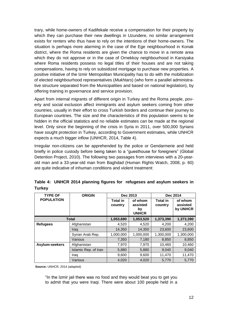trary, while home-owners of Kadifekale receive a compensation for their property by which they can purchase their new dwellings in Uzundere, no similar arrangement exists for renters who thus have to rely on the intentions of their home-owners. The situation is perhaps more alarming in the case of the Ege neighbourhood in Konak district, where the Roma residents are given the chance to move in a remote area which they do not approve or in the case of Ornekkoy neighbourhood in Karsiyaka where Roma residents possess no legal titles of their houses and are not taking compensations, having to rely on subsidized mortgage to purchase new properties. A positive initiative of the Izmir Metropolitan Municipality has to do with the mobilization of elected neighbourhood representatives (*Mukhtars*) (who form a parallel administrative structure separated from the Municipalities and based on national legislation), by offering training in governance and service provision.

Apart from internal migrants of different origin in Turkey and the Roma people, poverty and social exclusion affect immigrants and asylum seekers coming from other countries, usually in their effort to cross Turkish borders and continue their journey to European countries. The size and the characteristics of this population seems to be hidden in the official statistics and no reliable estimates can be made at the regional level. Only since the beginning of the crisis in Syria in 2011, over 500,000 Syrians have sought protection in Turkey, according to Government estimates, while UNHCR expects a much bigger inflow (UNHCR, 2014, Table 4).

Irregular non-citizens can be apprehended by the police or Gendarmerie and held briefly in police custody before being taken to a "guesthouse for foreigners" (Global Detention Project, 2010). The following two passages from interviews with a 20-yearold man and a 33-year-old man from Baghdad (Human Rights Watch, 2008, p. 60) are quite indicative of inhuman conditions and violent treatment:

| <b>TYPE OF</b>    | <b>ORIGIN</b>        | Dec 2013                   |                                           | Dec 2014                   |                                 |
|-------------------|----------------------|----------------------------|-------------------------------------------|----------------------------|---------------------------------|
| <b>POPULATION</b> |                      | <b>Total in</b><br>country | of whom<br>assisted<br>by<br><b>UNHCR</b> | <b>Total in</b><br>country | of whom<br>assisted<br>by UNHCR |
|                   | <b>Total</b>         | 1,053,690                  | 1,053,520                                 | 1,373,390                  | 1,373,390                       |
| <b>Refugees</b>   | Afghanistan          | 4,520                      | 4,520                                     | 4,200                      | 4,200                           |
|                   | Iraq                 | 14,350                     | 14,350                                    | 23,600                     | 23,600                          |
|                   | Syrian Arab Rep.     | 1,000,000                  | 1,000,000                                 | 1,300,000                  | 1,300,000                       |
|                   | Various              | 7,350                      | 7,180                                     | 8,850                      | 8,850                           |
| Asylum-seekers    | Afghanistan          | 7,970                      | 7,970                                     | 10,460                     | 10,460                          |
|                   | Islamic Rep. of Iran | 5,880                      | 5,880                                     | 9,040                      | 9,040                           |
|                   | Iraq                 | 9,600                      | 9,600                                     | 11,470                     | 11,470                          |
|                   | Various              | 4,020                      | 4,020                                     | 5,770                      | 5,770                           |

<span id="page-19-0"></span>**Table 4: UNHCR 2014 planning figures for refugeses and asylum seekers in Turkey**

**Source:** UNHCR, 2014 (adapted)

"In the Izmir jail there was no food and they would beat you to get you to admit that you were Iraqi. There were about 100 people held in a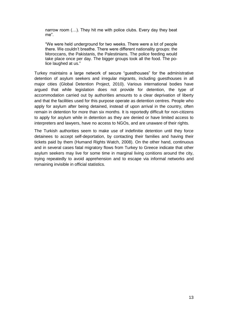narrow room (…). They hit me with police clubs. Every day they beat me".

"We were held underground for two weeks. There were a lot of people there. We couldn't breathe. There were different nationality groups: the Moroccans, the Pakistanis, the Palestinians. The police feeding would take place once per day. The bigger groups took all the food. The police laughed at us."

Turkey maintains a large network of secure "guesthouses" for the administrative detention of asylum seekers and irregular migrants, including guesthouses in all major cities (Global Detention Project, 2010). Various international bodies have argued that while legislation does not provide for detention, the type of accommodation carried out by authorities amounts to a clear deprivation of liberty and that the facilities used for this purpose operate as detention centres. People who apply for asylum after being detained, instead of upon arrival in the country, often remain in detention for more than six months. It is reportedly difficult for non-citizens to apply for asylum while in detention as they are denied or have limited access to interpreters and lawyers, have no access to NGOs, and are unaware of their rights.

The Turkish authorities seem to make use of indefinitie detention until they force detainees to accept self-deportation, by contacting their families and having their tickets paid by them (Humand Rights Watch, 2008). On the other hand, continuous and in several cases fatal migratory flows from Turkey to Greece indicate that other asylum seekers may live for some time in marginal living conitions around the city, trying repeatedly to avoid apprehension and to escape via informal networks and remaining invisible in official statistics.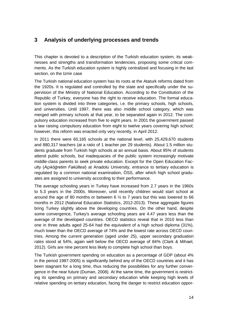### <span id="page-21-0"></span>**3 Analysis of underlying processes and trends**

This chapter is devoted to a description of the Turkish education system, its weaknesses and strengths and transformation tendencies, proposing some critical comments. As the Turkish education system is highly centralized and focusing in the last section, on the Izmir case

The Turkish national education system has its roots at the Ataturk reforms dated from the 1920s. It is regulated and controlled by the state and specifically under the supervision of the Ministry of National Education. According to the Constitution of the Republic of Turkey, everyone has the right to receive education. The formal education system is divided into three categories, i.e. the primary schools, high schools, and universities. Until 1997, there was also middle school category, which was merged with primary schools at that year, to be separated again in 2012. The compulsory education increased from five to eight years. In 2001 the government passed a law raising compulsory education from eight to twelve years covering high school; however, this reform was enacted only very recently, in April 2012.

In 2011 there were 60,165 schools at the national level, with 25,429,670 students and 880,317 teachers (at a ratio of 1 teacher per 29 students). About 1.5 million students graduate from Turkish high schools at an annual basis. About 95% of students attend public schools, but inadequacies of the public system increasingly motivate middle-class parents to seek private education. Except for the Open Education Faculty (*Açıköğretim Fakültesi*) at Anadolu University, entrance to tertiary education is regulated by a common national examination, ÖSS, after which high school graduates are assigned to university according to their performance.

The average schooling years in Turkey have increased from 2.7 years in the 1960s to 5.3 years in the 2000s. Moreover, until recently children would start school at around the age of 80 months or between 6  $\frac{1}{2}$  to 7 years but this was lowered to 66 months in 2012 (National Education Statistics, 2012-2013). These aggregate figures bring Turkey slightly above the developing countries. On the other hand, despite some convergence, Turkey's average schooling years are 4.47 years less than the average of the developed countries. OECD statistics reveal that in 2010 less than one in three adults aged 25-64 had the equivalent of a high school diploma (31%), much lower than the OECD average of 74% and the lowest rate across OECD countries. Among the current generation (aged under 25), upper secondary graduation rates stood at 54%, again well below the OECD average of 84% (Clark & Mihael, 2012). Girls are nine percent less likely to complete high school than boys.

The Turkish government spending on education as a percentage of GDP (about 4% in the period 1987-2005) is significantly behind any of the OECD countries and it has been stagnant for a long time, thus reducing the possibilities for any further convergence in the near future (Duman, 2008). At the same time, the government is restricting its spending on primary and secondary education while keeping high levels of relative spending on tertiary education, facing the danger to restrict education oppor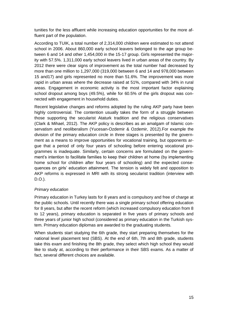tunities for the less affluent while increasing education opportunities for the more affluent part of the population.

According to TUIK, a total number of 2,314,000 children were estimated to not attend school in 2006. About 860,000 early school leavers belonged to the age group between 6 and 14 and other 1,454,000 in the 15-17 group. Girls represented the majority with 57.5%. 1,311,000 early school leavers lived in urban areas of the country. By 2012 there were clear signs of improvement as the total number had decreased by more than one million to 1,297,000 (319,000 between 6 and 14 and 978,000 between 15 and17) and girls represented no more than 51.6%. The improvement was more rapid in urban areas where the decrease raised at 51%, compared with 34% in rural areas. Engagement in economic activity is the most important factor explaining school dropout among boys (49.5%), while for 60.5% of the girls dropout was connected with engagement in household duties.

Recent legislative changes and reforms adopted by the ruling AKP party have been highly controversial. The contention usually takes the form of a struggle between those supporting the secularist Ataturk tradition and the religious conservatives (Clark & Mihael, 2012). The AKP policy is describes as an amalgam of Islamic conservatism and neoliberalism (Yucesan-Ozdemir & Ozdemir, 2012).For example the division of the primary education circle in three stages is presented by the government as a means to improve opportunities for vocational training, but opponents argue that a period of only four years of schooling before entering vocational programmes is inadequate. Similarly, certain concerns are formulated on the government's intention to facilitate families to keep their children at home (by implementing home school for children after four years of schooling) and the expected consequences on girls' education attainment. The tension is widely felt and opposition to AKP reforms is expressed in MRI with its strong secularist tradition (interview with D.O.).

#### *Primary education*

Primary education in Turkey lasts for 8 years and is compulsory and free of charge at the public schools. Until recently there was a single primary school offering education for 8 years, but after the recent reform (which increased compulsory education from 8 to 12 years), primary education is separated in five years of primary schools and three years of junior high school (considered as primary education in the Turkish system. Primary education diplomas are awarded to the graduating students.

When students start studying the 6th grade, they start preparing themselves for the national level placement test (SBS). At the end of 6th, 7th and 8th grade, students take this exam and finishing the 8th grade, they select which high school they would like to study at, according to their performance in their SBS exams. As a matter of fact, several different choices are available.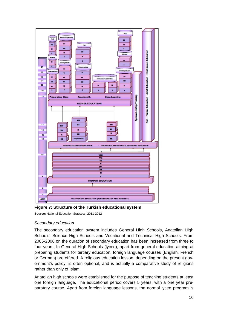

<span id="page-23-0"></span>**Figure 7: Structure of the Turkish educational system**

**Source:** National Education Statistics, 2011-2012

#### *Secondary education*

The secondary education system includes General High Schools, Anatolian High Schools, Science High Schools and Vocational and Technical High Schools. From 2005-2006 on the duration of secondary education has been increased from three to four years. In General High Schools (lycee), apart from general education aiming at preparing students for tertiary education, foreign language courses (English, French or German) are offered. A religious education lesson, depending on the present government's policy, is often optional, and is actually a comparative study of religions rather than only of Islam.

Anatolian high schools were established for the purpose of teaching students at least one foreign language. The educational period covers 5 years, with a one year preparatory course. Apart from foreign language lessons, the normal lycee program is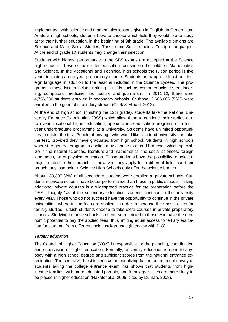implemented, with science and mathematics lessons given in English. In General and Anatolian high schools, students have to choose which field they would like to study at for their further education, in the beginning of 9th grade. The available options are Science and Math, Social Studies, Turkish and Social studies, Foreign Languages. At the end of grade 10 students may change their selection.

Students with highest performance in the SBS exams are accepted at the Science high schools. These schools offer education focused on the fields of Mathematics and Science. In the Vocational and Technical high schools the tuition period is five years including a one-year preparatory course. Students are taught at least one foreign language in addition to the lessons included in the Science Lycees. The programs in these lycees include training in fields such as computer science, engineering, computers, medicine, architecture and journalism. In 2011-12, there were 4,756,286 students enrolled in secondary schools. Of those, 2,666,066 (56%) were enrolled in the general secondary stream (Clark & Mihael, 2012).

At the end of high school (finishing the 12th grade), students take the National University Entrance Examination (OSS) which allow them to continue their studies at a two-year vocational higher education, open/distance education programs or a fouryear undergraduate programme at a University. Students have unlimited opportunities to retake the test. People at any age who would like to attend university can take the test, provided they have graduated from high school. Students in high schools where the general program is applied may choose to attend branches which specialize in the natural sciences, literature and mathematics, the social sciences, foreign languages, art or physical education. Those students have the possibility to select a major related to their branch. If, however, they apply for a different field than their branch they lose points. Science High Schools only offer the science branch.

About 130,397 (3%) of all secondary students were enrolled at private schools. Students in private schools have better performance than those in public schools. Taking additional private courses is a widespread practice for the preparation before the OSS. Roughly 1/3 of the secondary education students continue to the university every year. Those who do not succeed have the opportunity to continue in the private universities, where tuition fees are applied. In order to increase their possibilities for tertiary studies Turkish students choose to take extra courses in private preparatory schools. Studying in these schools is of course restricted to those who have the economic potential to pay the applied fees, thus limiting equal access to tertiary education for students from different social backgrounds (interview with D.O).

#### *Tertiary education*

The Council of Higher Education (YOK) is responsible for the planning, coordination and supervision of higher education. Formally, university education is open to anybody with a high school degree and sufficient scores from the national entrance examination. The centralized test is seen as an equalizing factor, but a recent survey of students taking the college entrance exam has shown that students from highincome families, with more educated parents, and from larger cities are more likely to be placed in higher education (Hakatenaka, 2006, cited by Duman, 2008).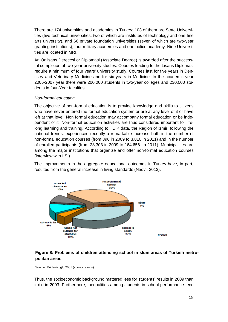There are 174 universities and academies in Turkey; 103 of them are State Universities (five technical universities, two of which are institutes of technology and one fine arts university), and 66 private foundation universities (seven of which are two-year granting institutions), four military academies and one police academy. Nine Universities are located in MRI.

An Önlisans Derecesi or Diplomasi (Associate Degree) is awarded after the successful completion of two-year university studies. Courses leading to the Lisans Diplomasi require a minimum of four years' university study. Courses last for five years in Dentistry and Veterinary Medicine and for six years in Medicine. In the academic year 2006-2007 year there were 200,000 students in two-year colleges and 230,000 students in four-Year faculties.

#### *Non-formal education*

The objective of non-formal education is to provide knowledge and skills to citizens who have never entered the formal education system or are at any level of it or have left at that level. Non formal education may accompany formal education or be independent of it. Non-formal education activities are thus considered important for lifelong learning and training. According to TUIK data, the Region of Izmir, following the national trends, experienced recently a remarkable increase both in the number of non-formal education courses (from 396 in 2009 to 3,810 in 2011) and in the number of enrolled participants (from 28,303 in 2009 to 164,656 in 2011). Municipalities are among the major institutions that organize and offer non-formal education courses (interview with I.S.).

The improvements in the aggregate educational outcomes in Turkey have, in part, resulted from the general increase in living standards (Naqvi, 2013).



#### **Figure 8: Problems of children attending school in slum areas of Turkish metropolitan areas**

Source: Müderrisoğlu 2005 (survey results)

Thus, the socioeconomic background mattered less for students' results in 2009 than it did in 2003. Furthermore, inequalities among students in school performance tend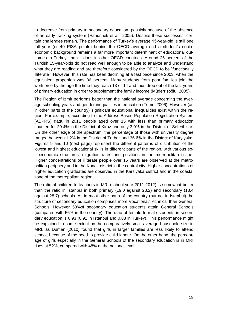to decrease from primary to secondary education, possibly because of the absence of an early-tracking system (Hanushek et al., 2005). Despite these successes, certain challenges remain. The performance of Turkey's average 15-year-old is still one full year (or 40 PISA points) behind the OECD average and a student's socioeconomic background remains a far more important determinant of educational outcomes in Turkey, than it does in other OECD countries. Around 25 percent of the Turkish 15-year-olds do not read well enough to be able to analyze and understand what they are reading and are therefore considered by the OECD to be "functionally illiterate". However, this rate has been declining at a fast pace since 2003, when the equivalent proportion was 36 percent. Many students from poor families join the workforce by the age the time they reach 13 or 14 and thus drop out of the last years of primary education in order to supplement the family income (Müderrisoğlu, 2005).

The Region of Izmir performs better than the national average concerning the average schooling years and gender inequalities in education (Tomul 2006). However (as in other parts of the country) significant educational inequalities exist within the region. For example, according to the Address Based Population Registration System (ABPRS) data, in 2011 people aged over 15 with less than primary education counted for 20.4% in the District of Kiraz and only 3.0% in the District of Seferihisar. On the other edge of the spectrum, the percentage of those with university degree ranged between 1.2% in the District of Torbali and 36.6% in the District of Karşiyaka. Figures 9 and 10 (next page) represent the different patterns of distribution of the lowest and highest educational skills in different parts of the region, with various socioeconomic structures, migration rates and positions in the metropolitan tissue. Higher concentrations of illiterate people over 15 years are observed at the metropolitan periphery and in the Konak district in the central city. Higher concentrations of higher education graduates are observed in the Karsiyaka district and in the coastal zone of the metropolitan region.

The ratio of children to teachers in MRI (school year 2011-2012) is somewhat better than the ratio in Istanbul in both primary (19.0 against 28.2) and secondary (18.4 against 28.7) schools. As in most other parts of the country (but not in Istanbul) the structure of secondary education comprises more Vocational/Technical than General Schools. However 53%of secondary education students attain General Schools (compared with 56% in the country). The ratio of female to male students in secondary education is 0.93 (0.92 in Istanbul and 0.88 in Turkey). This performance might be explained to some extent by the comparatively small average household size in MRI, as Duman (2010) found that girls in larger families are less likely to attend school, because of the need to provide child labour. On the other hand, the percentage of girls especially in the General Schools of the secondary education is in MRI rises at 52%, compared with 48% at the national level.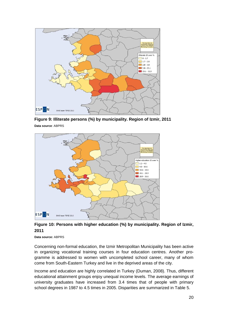

<span id="page-27-0"></span>**Figure 9: Illiterate persons (%) by municipality. Region of Izmir, 2011 Data source**: ABPRS



<span id="page-27-1"></span>**Figure 10: Persons with higher education (%) by municipality. Region of Izmir, 2011**

**Data source:** ABPRS

Concerning non-formal education, the Izmir Metropolitan Municipality has been active in organizing vocational training courses in four education centres. Another programme is addressed to women with uncompleted school career, many of whom come from South-Eastern Turkey and live in the deprived areas of the city.

Income and education are highly correlated in Turkey (Duman, 2008). Thus, different educational attainment groups enjoy unequal income levels. The average earnings of university graduates have increased from 3.4 times that of people with primary school degrees in 1987 to 4.5 times in 2005. Disparities are summarized in Table 5.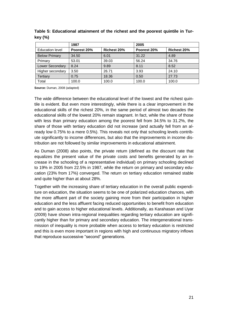|                        | 1987        |                    | 2005        |                    |
|------------------------|-------------|--------------------|-------------|--------------------|
| <b>Education level</b> | Poorest 20% | <b>Richest 20%</b> | Poorest 20% | <b>Richest 20%</b> |
| <b>Below Primary</b>   | 34.50       | 6.01               | 31.22       | 4.89               |
| Primary                | 53.01       | 39.03              | 56.24       | 34.76              |
| <b>Lower Secondary</b> | 8.24        | 9.89               | 8.11        | 8.52               |
| Higher secondary       | 3.50        | 26.71              | 3.93        | 24.10              |
| Tertiary               | 0.75        | 18.36              | 0.50        | 27.73              |
| Total                  | 100.0       | 100.0              | 100.0       | 100.0              |

<span id="page-28-0"></span>**Table 5: Educational attainment of the richest and the poorest quintile in Turkey (%)**

**Source:** Duman, 2008 (adapted)

The wide difference between the educational level of the lowest and the richest quintile is evident. But even more interestingly, while there is a clear improvement in the educational skills of the richest 20%, in the same period of almost two decades the educational skills of the lowest 20% remain stagnant. In fact, while the share of those with less than primary education among the poorest fell from 34.5% to 31.2%, the share of those with tertiary education did not increase (and actually fell from an already low 0.75% to a mere 0.5%). This reveals not only that schooling levels contribute significantly to income differences, but also that the improvements in income distribution are not followed by similar improvements in educational attainment.

As Duman (2008) also points, the private return (defined as the discount rate that equalizes the present value of the private costs and benefits generated by an increase in the schooling of a representative individual) on primary schooling declined to 19% in 2005 from 22.5% in 1987, while the return on primary and secondary education (23% from 17%) converged. The return on tertiary education remained stable and quite higher than at about 28%.

Together with the increasing share of tertiary education in the overall public expenditure on education, the situation seems to be one of polarized education chances, with the more affluent part of the society gaining more from their participation in higher education and the less affluent facing reduced opportunities to benefit from education and to gain access to higher educational levels. Additionally, as Karahasan and Uyar (2009) have shown intra-regional inequalities regarding tertiary education are significantly higher than for primary and secondary education. The intergenerational transmission of inequality is more probable when access to tertiary education is restricted and this is even more important in regions with high and continuous migratory inflows that reproduce successive "second" generations.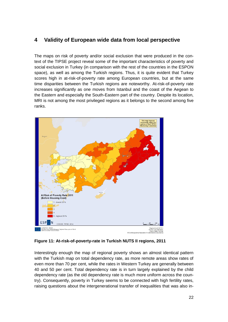## <span id="page-29-0"></span>**4 Validity of European wide data from local perspective**

The maps on risk of poverty and/or social exclusion that were produced in the context of the TIPSE project reveal some of the important characteristics of poverty and social exclusion in Turkey (in comparison with the rest of the countries in the ESPON space), as well as among the Turkish regions. Thus, it is quite evident that Turkey scores high in at-risk-of-poverty rate among European countries, but at the same time disparities between the Turkish regions are noteworthy. At-risk-of-poverty rate increases significantly as one moves from Istanbul and the coast of the Aegean to the Eastern and especially the South-Eastern part of the country. Despite its location, MRI is not among the most privileged regions as it belongs to the second among five ranks.



#### <span id="page-29-1"></span>**Figure 11: At-risk-of-poverty-rate in Turkish NUTS II regions, 2011**

Interestingly enough the map of regional poverty shows an almost identical pattern with the Turkish map on total dependency rate, as more remote areas show rates of even more than 70 per cent, while the rates in Western Turkey are generally between 40 and 50 per cent. Total dependency rate is in turn largely explained by the child dependency rate (as the old dependency rate is much more uniform across the country). Consequently, poverty in Turkey seems to be connected with high fertility rates, raising questions about the intergenerational transfer of inequalities that was also in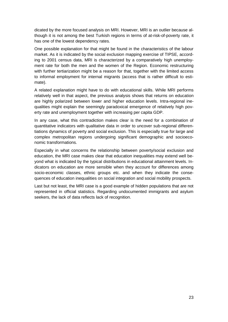dicated by the more focused analysis on MRI. However, MRI is an outlier because although it is not among the best Turkish regions in terms of at-risk-of-poverty rate, it has one of the lowest dependency rates.

One possible explanation for that might be found in the characteristics of the labour market. As it is indicated by the social exclusion mapping exercise of TIPSE, according to 2001 census data, MRI is characterized by a comparatively high unemployment rate for both the men and the women of the Region. Economic restructuring with further tertiarization might be a reason for that, together with the limited access to informal employment for internal migrants (access that is rather difficult to estimate).

A related explanation might have to do with educational skills. While MRI performs relatively well in that aspect, the previous analysis shows that returns on education are highly polarized between lower and higher education levels. Intra-regional inequalities might explain the seemingly paradoxical emergence of relatively high poverty rate and unemployment together with increasing per capita GDP.

In any case, what this contradiction makes clear is the need for a combination of quantitative indicators with qualitative data in order to uncover sub-regional differentiations dynamics of poverty and social exclusion. This is especially true for large and complex metropolitan regions undergoing significant demographic and socioeconomic transformations.

Especially in what concerns the relationship between poverty/social exclusion and education, the MRI case makes clear that education inequalities may extend well beyond what is indicated by the typical distributions in educational attainment levels. Indicators on education are more sensible when they account for differences among socio-economic classes, ethnic groups etc. and when they indicate the consequences of education inequalities on social integration and social mobility prospects.

Last but not least, the MRI case is a good example of hidden populations that are not represented in official statistics. Regarding undocumented immigrants and asylum seekers, the lack of data reflects lack of recognition.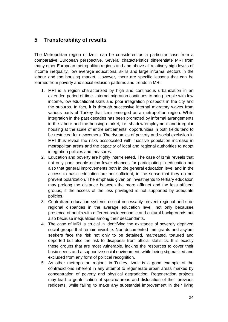### <span id="page-31-0"></span>**5 Transferability of results**

The Metropolitan region of Izmir can be considered as a particular case from a comparative European perspective. Several chatacteristics differentiate MRI from many other European metropolitan regions and and above all relatively high levels of income inequality, low average educational skills and large informal sectors in the labour and the housing market. However, there are specific lessons that can be learned from poverty and social exlusion patterns and trends in MRI.

- 1. MRI is a region characterized by high and continuous urbanization in an extended period of time. Internal migration continues to bring people with low income, low educational skills and poor integration prospects in the city and the suburbs. In fact, it is through successive internal migratory waves from various parts of Turkey that Izmir emerged as a metropolitan region. While integration in the past decades has been promoted by informal arrangements in the labour and the housing market, i.e. shadow employment and irregular housing at the scale of entire settlements, opportunities in both fields tend to be restricted for newcomers. The dynamics of poverty and social exclusion in MRI thus reveal the risks asssociated with massive population increase in metropolitan areas and the capacity of local and regional authorities to adopt integration policies and measures.
- 2. Education and poverty are highly interreleated. The case of Izmir reveals that not only poor people enjoy fewer chances for participating in education but also that general improvements both in the general education level and in the access to basic education are not sufficient, in the sense that they do not prevent polarization. The emphasis given on investments to tertiary education may prolong the distance between the more afflunet and the less affluent groups, if the access of the less privileged is not supported by adequate policies.
- 3. Centralized education systems do not necessarily prevent regional and subregional disparities in the average education level, not only becausee presence of adults with different socioeconomic and cultural backgrounds but also because inequalities among their descendants.
- 4. The case of MRI is crucial in identifying the existance of severely deprived social groups that remain invisible. Non-documented immigrants and asylum seekers face the risk not only to be detained, maltreated, tortured and deported but also the risk to disappear from official statistics. It is exactly these groups that are most vulnerable, lacking the resources to cover their basic needs and a supportive social environment, while being stigmatized and excluded from any form of political recognition.
- 5. As other metropolitan regions in Turkey, Izmir is a good example of the contradictions inherent in any attempt to regenerate urban areas marked by concentration of poverty and physical degradation. Regeneration projects may lead to gentrification of specific areas and dislocation of their previous redidents, while failing to make any substantial improvement in their living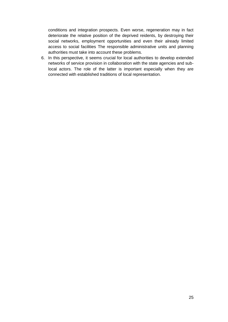conditions and integration prospects. Even worse, regeneration may in fact deteriorate the relative position of the deprived reidents, by destroying their social networks, employment opportunities and even their already limited access to social facilities The responsible administrative units and planning authorities must take into account these problems.

6. In this perspective, it seems crucial for local authorities to develop extended networks of service provision in collaboration with the state agencies and sublocal actors. The role of the latter is important especially when they are connected with established traditions of local representation.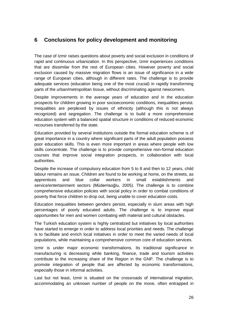## <span id="page-33-0"></span>**6 Conclusions for policy development and monitoring**

The case of Izmir raises questions about poverty and social exclusion in conditions of rapid and continuous urbanization. In this perspective, Izmir experiences conditions that are dissimilar from the rest of European cities. However poverty and social exclusion caused by massive migration flows is an issue of significance in a wide range of European cities, although in different rates. The challenge is to provide adequate services (education being one of the most crucial) in rapidly transforming parts of the urban/metropolitan tissue, without discriminating against newcomers.

Despite improvements in the average years of education and in the education prospects for children growing in poor socioeconomic conditions, inequalities persist. Inequalities are perplexed by issues of ethnicity (although this is not always recognized) and segregation. The challenge is to build a more comprehensive education system with a balanced spatial structure in conditions of reduced economic recourses transferred by the state.

Education provided by several institutions outside the formal education scheme is of great importance in a country where significant parts of the adult population possess poor education skills. This is even more important in areas where people with low skills concentrate. The challenge is to provide comprehensive non-formal education courses that improve social integration prospects, in collaboration with local authorities.

Despite the increase of compulsory education from 5 to 8 and then to 12 years, child labour remains an issue. Children are found to be working at home, on the streets, as apprentices and blue collar workers in small establishments and service/entertainment sectors (Müderrisoğlu, 2005). The challenge is to combine comprehensive education policies with social policy in order to combat conditions of poverty that force children to drop out, being unable to cover education costs.

Education inequalities between genders persist, especially in slum areas with high percentages of poorly educated adults. The challenge is to improve equal opportunities for men and women combating with material and cultural obstacles.

The Turkish education system is highly centralized but initiatives by local authorities have started to emerge in order to address local priorities and needs. The challenge is to facilitate and enrich local initiatives in order to meet the varied needs of local populations, while maintaining a comprehensive common core of education services.

Izmir is under major economic transformations. Its traditional significance in manufacturing is decreasing while banking, finance, trade and tourism activities contribute to the increasing share of the Region in the GNP. The challenge is to promote integration of people that are affected by economic transformations, especially those in informal activities.

Last but not least, Izmir is situated on the crossroads of international migration, accommodating an unknown number of people on the move, often entrapped in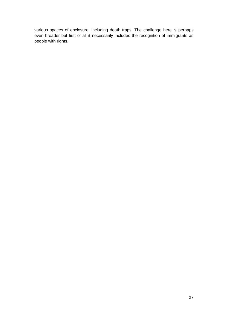various spaces of enclosure, including death traps. The challenge here is perhaps even broader but first of all it necessarily includes the recognition of immigrants as people with rights.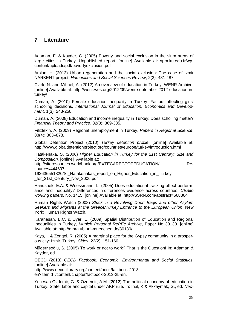### <span id="page-35-0"></span>**7 Literature**

Adaman, F. & Kayder, C. (2005) Poverty and social exclusion in the slum areas of large cities in Turkey. Unpublished report. [online] Available at: spm.ku.edu.tr/wpcontent/uploads/pdf/povertyexclusion.pdf

Arslan, H. (2013) Urban regeneration and the social exclusion: The case of Izmir NARKENT project, *Humanities and Social Sciences Review*, 2(3): 481-487.

Clark, N. and Mihael, A. (2012) An overview of education in Turkey, WENR Archive. [online] Available at: http://wenr.wes.org/2012/09/wenr-september-2012-education-inturkey/

Duman, A. (2010) Female education inequality in Turkey: Factors affecting girls' schooling decisions, *International Journal of Education, Economics and Development*, 1(3): 243-258.

Duman, A. (2008) Education and income inequality in Turkey: Does scholling matter? *Financial Theory and Practice*, 32(3): 369-385.

Filiztekin, A. (2009) Regional unemployment in Turkey, *Papers in Regional Science*, 88(4): 863–878.

Global Detention Project (2010) *Turkey detention profile.* [online] Available at: http://www.globaldetentionproject.org/countries/europe/turkey/introduction.html

Hatakenaka, S. (2006) *Higher Education in Turkey for the 21st Century: Size and Composition.* [online] Available at:

http://siteresources.worldbank.org/EXTECAREGTOPEDUCATION/ Resources/444607-

192636551820/S. Hatakenakas report on Higher Education in Turkey for 21st Century Nov 2006.pdf

Hanushek, E.A. & Woessmann, L. (2005) Does educational tracking affect performance and inequality? Differences-in-differences evidence across countries, *CESifo working papers*, No. 1415. [online] Available at: http://SSRN.com/abstract=668864

Human Rights Watch (2008) *Stuck in a Revolving Door: Iraqis and other Asylum Seekers and Migrants at the Greece/Turkey Entrance to the European Union*, New York: Human Rights Watch.

Karahasan, B.C. & Uyar, E. (2009) Spatial Distribution of Education and Regional Inequalities in Turkey, *Munich Personal RePEc Archive*, Paper No 30130. [online] Available at: http://mpra.ub.uni-muenchen.de/30130/

Kaya, I. & Zengel, R. (2005) A marginal place for the Gypsy community in a prosperous city: Izmir, Turkey, *Cities*, 22(2): 151-160.

Müderrisoğlu, S. (2005) To work or not to work? That is the Question! In: Adaman & Kayder, ed.

OECD (2013) *OECD Factbook: Economic, Environmental and Social Statistics*. [online] Available at:

http://www.oecd-ilibrary.org/content/book/factbook-2013 en?itemId=/content/chapter/factbook-2013-25-en.

Yucesan-Ozdemir, G. & Ozdemir, A.M. (2012) The political economy of education in Turkey: State, labor and capital under AKP rule. In: Inal, K & Akkaymak, G., ed. *Neo-*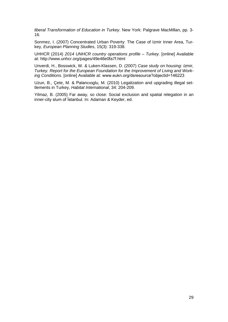*liberal Transformation of Education in Turkey*. New York: Palgrave MacMillan, pp. 3- 16.

Sonmez, I. (2007) Concentrated Urban Poverty: The Case of Izmir Inner Area, Turkey, *European Planning Studies*, 15(3): 319-338.

UHHCR (2014) *2014 UNHCR country operations profile – Turkey.* [online] Available at: http://www.unhcr.org/pages/49e48e0fa7f.html

Unverdi, H., Bosswick, W. & Luken-Klassen, D. (2007) *Case study on housing: Izmir, Turkey. Report for the European Foundation for the Improvement of Living and Working Conditions.* [online] Available at: www.eukn.org/dsresource?objectid=146223

Uzun, B., Çete, M. & Palancıoglu, M. (2010) Legalization and upgrading illegal settlements in Turkey, *Habitat International*, 34: 204-209.

Yilmaz, B. (2005) Far away, so close: Social exclusion and spatial relegation in an inner-city slum of İstanbul. In: Adaman & Keyder, ed.